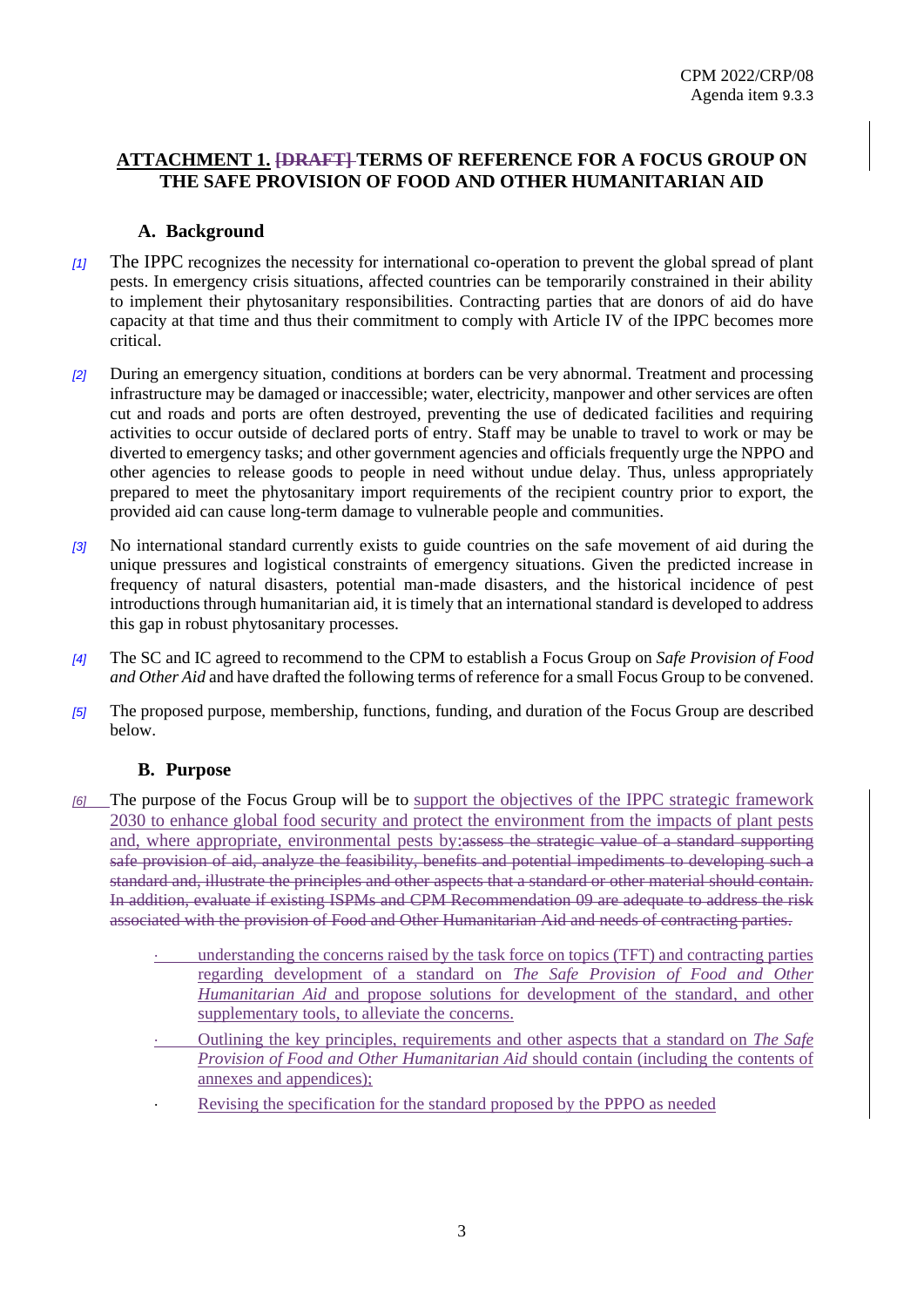# **ATTACHMENT 1. [DRAFT] TERMS OF REFERENCE FOR A FOCUS GROUP ON THE SAFE PROVISION OF FOOD AND OTHER HUMANITARIAN AID**

## **A. Background**

- *[1]* The IPPC recognizes the necessity for international co-operation to prevent the global spread of plant pests. In emergency crisis situations, affected countries can be temporarily constrained in their ability to implement their phytosanitary responsibilities. Contracting parties that are donors of aid do have capacity at that time and thus their commitment to comply with Article IV of the IPPC becomes more critical.
- *[2]* During an emergency situation, conditions at borders can be very abnormal. Treatment and processing infrastructure may be damaged or inaccessible; water, electricity, manpower and other services are often cut and roads and ports are often destroyed, preventing the use of dedicated facilities and requiring activities to occur outside of declared ports of entry. Staff may be unable to travel to work or may be diverted to emergency tasks; and other government agencies and officials frequently urge the NPPO and other agencies to release goods to people in need without undue delay. Thus, unless appropriately prepared to meet the phytosanitary import requirements of the recipient country prior to export, the provided aid can cause long-term damage to vulnerable people and communities.
- *[3]* No international standard currently exists to guide countries on the safe movement of aid during the unique pressures and logistical constraints of emergency situations. Given the predicted increase in frequency of natural disasters, potential man-made disasters, and the historical incidence of pest introductions through humanitarian aid, it is timely that an international standard is developed to address this gap in robust phytosanitary processes.
- *[4]* The SC and IC agreed to recommend to the CPM to establish a Focus Group on *Safe Provision of Food and Other Aid* and have drafted the following terms of reference for a small Focus Group to be convened.
- *[5]* The proposed purpose, membership, functions, funding, and duration of the Focus Group are described below.

### **B. Purpose**

- The purpose of the Focus Group will be to support the objectives of the IPPC strategic framework 2030 to enhance global food security and protect the environment from the impacts of plant pests and, where appropriate, environmental pests by:assess the strategic value of a standard supporting safe provision of aid, analyze the feasibility, benefits and potential impediments to developing such a standard and, illustrate the principles and other aspects that a standard or other material should contain. In addition, evaluate if existing ISPMs and CPM Recommendation 09 are adequate to address the risk associated with the provision of Food and Other Humanitarian Aid and needs of contracting parties.
	- understanding the concerns raised by the task force on topics (TFT) and contracting parties regarding development of a standard on *The Safe Provision of Food and Other Humanitarian Aid* and propose solutions for development of the standard, and other supplementary tools, to alleviate the concerns.
	- Outlining the key principles, requirements and other aspects that a standard on *The Safe Provision of Food and Other Humanitarian Aid* should contain (including the contents of annexes and appendices);
	- Revising the specification for the standard proposed by the PPPO as needed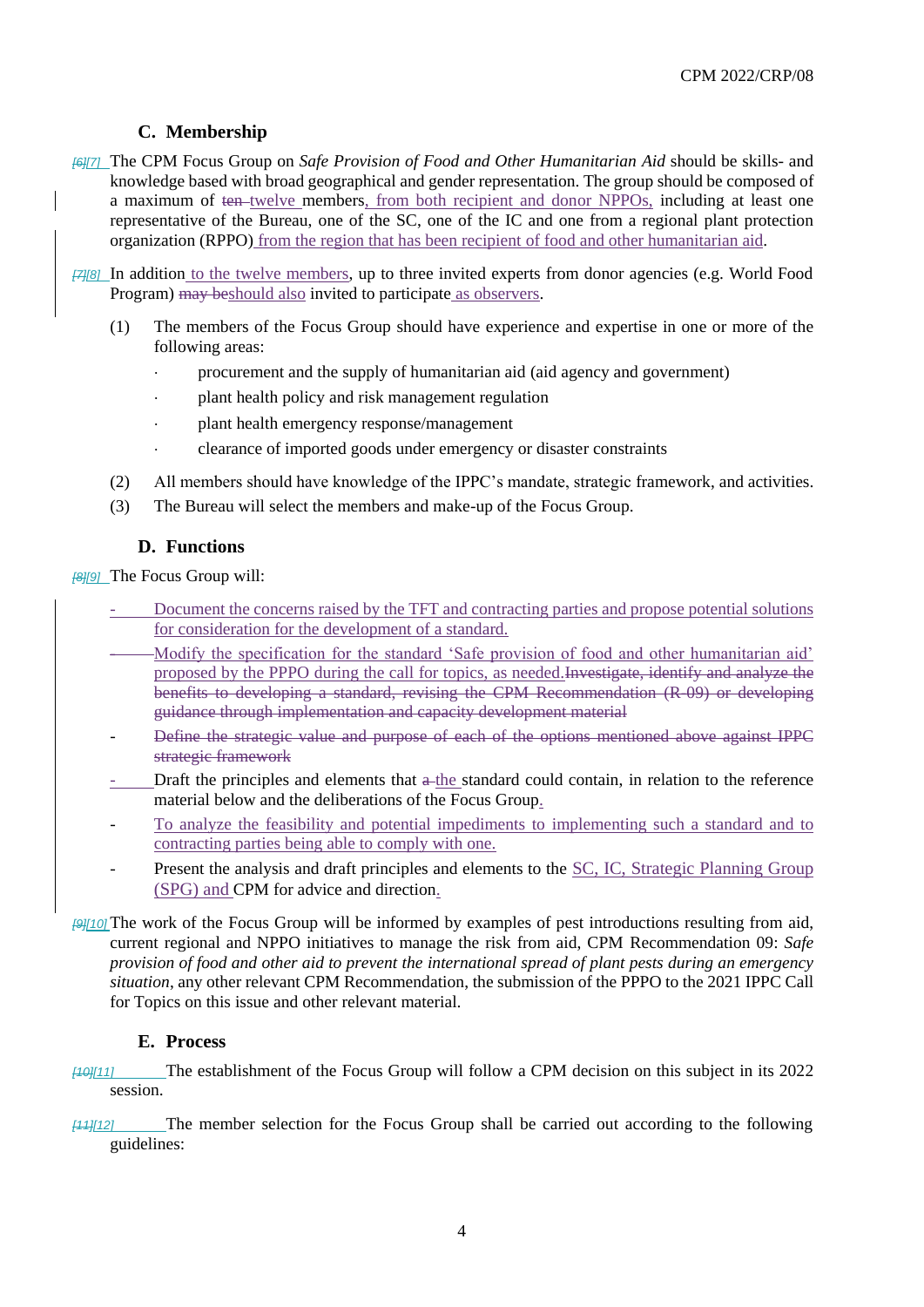# **C. Membership**

- *[6][7]* The CPM Focus Group on *Safe Provision of Food and Other Humanitarian Aid* should be skills- and knowledge based with broad geographical and gender representation. The group should be composed of a maximum of ten-twelve members, from both recipient and donor NPPOs, including at least one representative of the Bureau, one of the SC, one of the IC and one from a regional plant protection organization (RPPO) from the region that has been recipient of food and other humanitarian aid.
- *[7][8]* In addition to the twelve members, up to three invited experts from donor agencies (e.g. World Food Program) may be should also invited to participate as observers.
	- (1) The members of the Focus Group should have experience and expertise in one or more of the following areas:
		- procurement and the supply of humanitarian aid (aid agency and government)
		- plant health policy and risk management regulation
		- plant health emergency response/management
		- clearance of imported goods under emergency or disaster constraints
	- (2) All members should have knowledge of the IPPC's mandate, strategic framework, and activities.
	- (3) The Bureau will select the members and make-up of the Focus Group.

# **D. Functions**

*[8][9]* The Focus Group will:

- Document the concerns raised by the TFT and contracting parties and propose potential solutions for consideration for the development of a standard.
- Modify the specification for the standard 'Safe provision of food and other humanitarian aid' proposed by the PPPO during the call for topics, as needed.Investigate, identify and analyze the benefits to developing a standard, revising the CPM Recommendation (R-09) or developing guidance through implementation and capacity development material
- Define the strategic value and purpose of each of the options mentioned above against IPPC strategic framework
- Draft the principles and elements that a the standard could contain, in relation to the reference material below and the deliberations of the Focus Group.
- To analyze the feasibility and potential impediments to implementing such a standard and to contracting parties being able to comply with one.
- Present the analysis and draft principles and elements to the SC, IC, Strategic Planning Group (SPG) and CPM for advice and direction.
- *[9][10]* The work of the Focus Group will be informed by examples of pest introductions resulting from aid, current regional and NPPO initiatives to manage the risk from aid, CPM Recommendation 09: *Safe provision of food and other aid to prevent the international spread of plant pests during an emergency situation*, any other relevant CPM Recommendation, the submission of the PPPO to the 2021 IPPC Call for Topics on this issue and other relevant material.

### **E. Process**

- *[10][11]* The establishment of the Focus Group will follow a CPM decision on this subject in its 2022 session.
- *[11][12]* The member selection for the Focus Group shall be carried out according to the following guidelines: